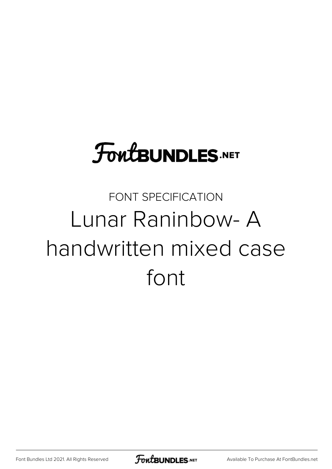# **FoutBUNDLES.NET**

#### FONT SPECIFICATION Lunar Raninbow- A handwritten mixed case font

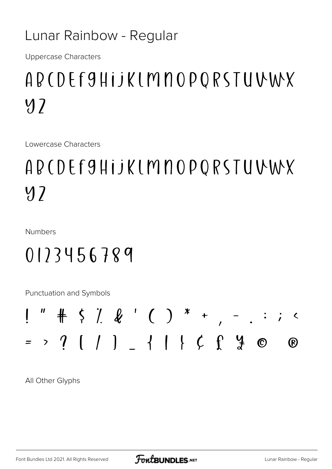#### Lunar Rainbow - Regular

**Uppercase Characters** 

### ADCDEF9HijKLMNOPQRSTUVWX  $y<sub>2</sub>$

Lowercase Characters

## ADCDEF9HijKLMNOPQRSTUVWX  $y<sub>2</sub>$

**Numbers** 

#### $0123456789$

Punctuation and Symbols

All Other Glyphs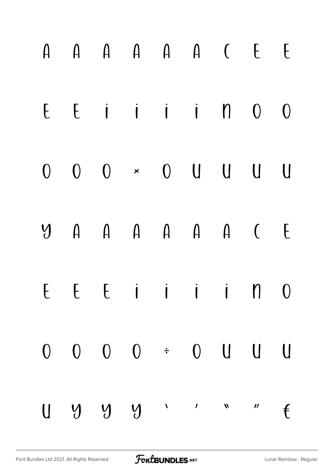